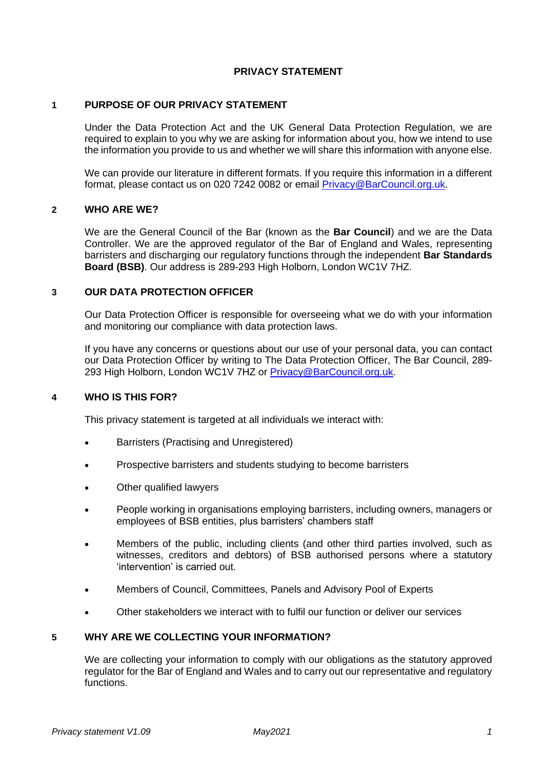### **PRIVACY STATEMENT**

### **1 PURPOSE OF OUR PRIVACY STATEMENT**

Under the Data Protection Act and the UK General Data Protection Regulation, we are required to explain to you why we are asking for information about you, how we intend to use the information you provide to us and whether we will share this information with anyone else.

We can provide our literature in different formats. If you require this information in a different format, please contact us on 020 7242 0082 or email [Privacy@BarCouncil.org.uk.](mailto:Privacy@BarCouncil.org.uk)

### **2 WHO ARE WE?**

We are the General Council of the Bar (known as the **Bar Council**) and we are the Data Controller. We are the approved regulator of the Bar of England and Wales, representing barristers and discharging our regulatory functions through the independent **Bar Standards Board (BSB)**. Our address is 289-293 High Holborn, London WC1V 7HZ.

### **3 OUR DATA PROTECTION OFFICER**

Our Data Protection Officer is responsible for overseeing what we do with your information and monitoring our compliance with data protection laws.

If you have any concerns or questions about our use of your personal data, you can contact our Data Protection Officer by writing to The Data Protection Officer, The Bar Council, 289- 293 High Holborn, London WC1V 7HZ or [Privacy@BarCouncil.org.uk.](mailto:Privacy@BarCouncil.org.uk)

### **4 WHO IS THIS FOR?**

This privacy statement is targeted at all individuals we interact with:

- Barristers (Practising and Unregistered)
- Prospective barristers and students studying to become barristers
- Other qualified lawyers
- People working in organisations employing barristers, including owners, managers or employees of BSB entities, plus barristers' chambers staff
- Members of the public, including clients (and other third parties involved, such as witnesses, creditors and debtors) of BSB authorised persons where a statutory 'intervention' is carried out.
- Members of Council, Committees, Panels and Advisory Pool of Experts
- Other stakeholders we interact with to fulfil our function or deliver our services

## **5 WHY ARE WE COLLECTING YOUR INFORMATION?**

We are collecting your information to comply with our obligations as the statutory approved regulator for the Bar of England and Wales and to carry out our representative and regulatory functions.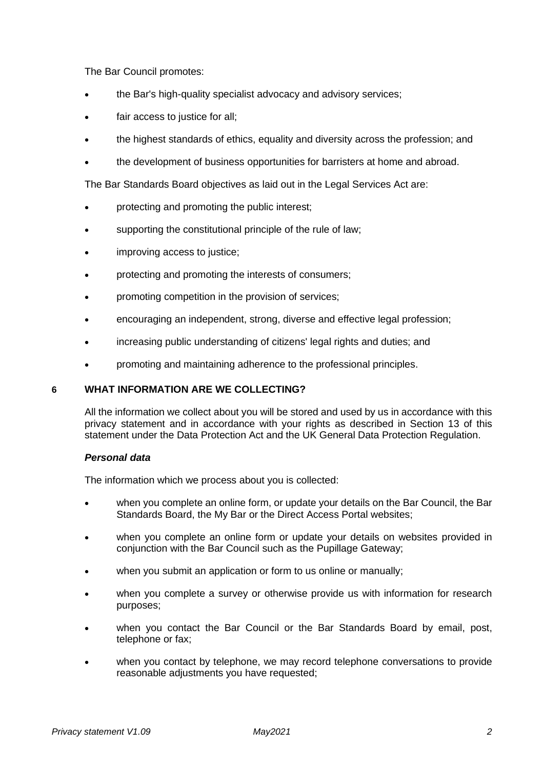The Bar Council promotes:

- the Bar's high-quality specialist advocacy and advisory services;
- fair access to justice for all;
- the highest standards of ethics, equality and diversity across the profession; and
- the development of business opportunities for barristers at home and abroad.

The Bar Standards Board objectives as laid out in the Legal Services Act are:

- protecting and promoting the public interest;
- supporting the constitutional principle of the rule of law;
- improving access to justice;
- protecting and promoting the interests of consumers;
- promoting competition in the provision of services;
- encouraging an independent, strong, diverse and effective legal profession;
- increasing public understanding of citizens' legal rights and duties; and
- promoting and maintaining adherence to the professional principles.

## **6 WHAT INFORMATION ARE WE COLLECTING?**

All the information we collect about you will be stored and used by us in accordance with this privacy statement and in accordance with your rights as described in Section 13 of this statement under the Data Protection Act and the UK General Data Protection Regulation.

### *Personal data*

The information which we process about you is collected:

- when you complete an online form, or update your details on the Bar Council, the Bar Standards Board, the My Bar or the Direct Access Portal websites;
- when you complete an online form or update your details on websites provided in conjunction with the Bar Council such as the Pupillage Gateway;
- when you submit an application or form to us online or manually;
- when you complete a survey or otherwise provide us with information for research purposes;
- when you contact the Bar Council or the Bar Standards Board by email, post, telephone or fax;
- when you contact by telephone, we may record telephone conversations to provide reasonable adjustments you have requested;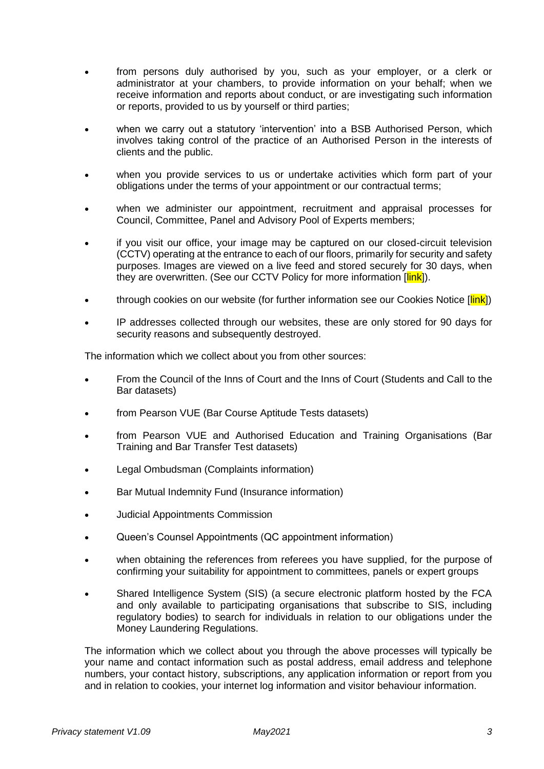- from persons duly authorised by you, such as your employer, or a clerk or administrator at your chambers, to provide information on your behalf; when we receive information and reports about conduct, or are investigating such information or reports, provided to us by yourself or third parties;
- when we carry out a statutory 'intervention' into a BSB Authorised Person, which involves taking control of the practice of an Authorised Person in the interests of clients and the public.
- when you provide services to us or undertake activities which form part of your obligations under the terms of your appointment or our contractual terms;
- when we administer our appointment, recruitment and appraisal processes for Council, Committee, Panel and Advisory Pool of Experts members;
- if you visit our office, your image may be captured on our closed-circuit television (CCTV) operating at the entrance to each of our floors, primarily for security and safety purposes. Images are viewed on a live feed and stored securely for 30 days, when they are overwritten. (See our CCTV Policy for more information [*link*]).
- through cookies on our website (for further information see our Cookies Notice [link])
- IP addresses collected through our websites, these are only stored for 90 days for security reasons and subsequently destroyed.

The information which we collect about you from other sources:

- From the Council of the Inns of Court and the Inns of Court (Students and Call to the Bar datasets)
- from Pearson VUE (Bar Course Aptitude Tests datasets)
- from Pearson VUE and Authorised Education and Training Organisations (Bar Training and Bar Transfer Test datasets)
- Legal Ombudsman (Complaints information)
- Bar Mutual Indemnity Fund (Insurance information)
- Judicial Appointments Commission
- Queen's Counsel Appointments (QC appointment information)
- when obtaining the references from referees you have supplied, for the purpose of confirming your suitability for appointment to committees, panels or expert groups
- Shared Intelligence System (SIS) (a secure electronic platform hosted by the FCA and only available to participating organisations that subscribe to SIS, including regulatory bodies) to search for individuals in relation to our obligations under the Money Laundering Regulations.

The information which we collect about you through the above processes will typically be your name and contact information such as postal address, email address and telephone numbers, your contact history, subscriptions, any application information or report from you and in relation to cookies, your internet log information and visitor behaviour information.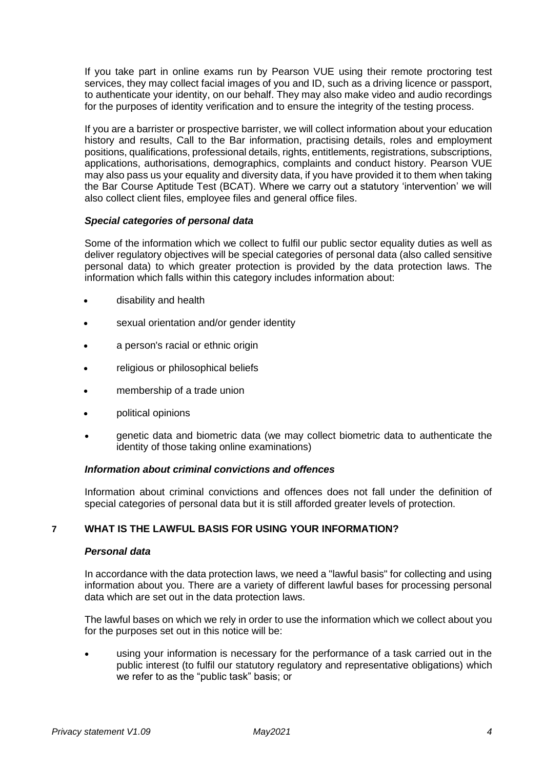If you take part in online exams run by Pearson VUE using their remote proctoring test services, they may collect facial images of you and ID, such as a driving licence or passport, to authenticate your identity, on our behalf. They may also make video and audio recordings for the purposes of identity verification and to ensure the integrity of the testing process.

If you are a barrister or prospective barrister, we will collect information about your education history and results, Call to the Bar information, practising details, roles and employment positions, qualifications, professional details, rights, entitlements, registrations, subscriptions, applications, authorisations, demographics, complaints and conduct history. Pearson VUE may also pass us your equality and diversity data, if you have provided it to them when taking the Bar Course Aptitude Test (BCAT). Where we carry out a statutory 'intervention' we will also collect client files, employee files and general office files.

### *Special categories of personal data*

Some of the information which we collect to fulfil our public sector equality duties as well as deliver regulatory objectives will be special categories of personal data (also called sensitive personal data) to which greater protection is provided by the data protection laws. The information which falls within this category includes information about:

- disability and health
- sexual orientation and/or gender identity
- a person's racial or ethnic origin
- religious or philosophical beliefs
- membership of a trade union
- political opinions
- genetic data and biometric data (we may collect biometric data to authenticate the identity of those taking online examinations)

### *Information about criminal convictions and offences*

Information about criminal convictions and offences does not fall under the definition of special categories of personal data but it is still afforded greater levels of protection.

## **7 WHAT IS THE LAWFUL BASIS FOR USING YOUR INFORMATION?**

### *Personal data*

In accordance with the data protection laws, we need a "lawful basis" for collecting and using information about you. There are a variety of different lawful bases for processing personal data which are set out in the data protection laws.

The lawful bases on which we rely in order to use the information which we collect about you for the purposes set out in this notice will be:

using your information is necessary for the performance of a task carried out in the public interest (to fulfil our statutory regulatory and representative obligations) which we refer to as the "public task" basis; or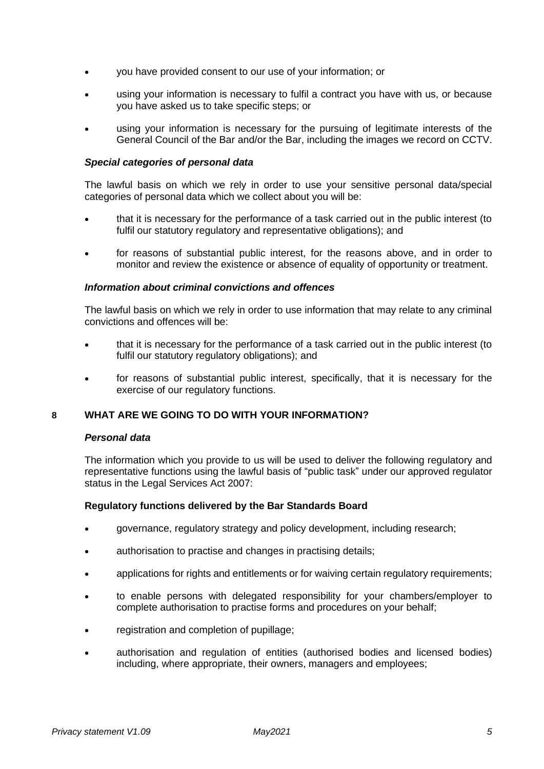- you have provided consent to our use of your information; or
- using your information is necessary to fulfil a contract you have with us, or because you have asked us to take specific steps; or
- using your information is necessary for the pursuing of legitimate interests of the General Council of the Bar and/or the Bar, including the images we record on CCTV.

## *Special categories of personal data*

The lawful basis on which we rely in order to use your sensitive personal data/special categories of personal data which we collect about you will be:

- that it is necessary for the performance of a task carried out in the public interest (to fulfil our statutory regulatory and representative obligations); and
- for reasons of substantial public interest, for the reasons above, and in order to monitor and review the existence or absence of equality of opportunity or treatment.

### *Information about criminal convictions and offences*

The lawful basis on which we rely in order to use information that may relate to any criminal convictions and offences will be:

- that it is necessary for the performance of a task carried out in the public interest (to fulfil our statutory regulatory obligations); and
- for reasons of substantial public interest, specifically, that it is necessary for the exercise of our regulatory functions.

# **8 WHAT ARE WE GOING TO DO WITH YOUR INFORMATION?**

### *Personal data*

The information which you provide to us will be used to deliver the following regulatory and representative functions using the lawful basis of "public task" under our approved regulator status in the Legal Services Act 2007:

### **Regulatory functions delivered by the Bar Standards Board**

- governance, regulatory strategy and policy development, including research;
- authorisation to practise and changes in practising details;
- applications for rights and entitlements or for waiving certain regulatory requirements;
- to enable persons with delegated responsibility for your chambers/employer to complete authorisation to practise forms and procedures on your behalf;
- registration and completion of pupillage;
- authorisation and regulation of entities (authorised bodies and licensed bodies) including, where appropriate, their owners, managers and employees;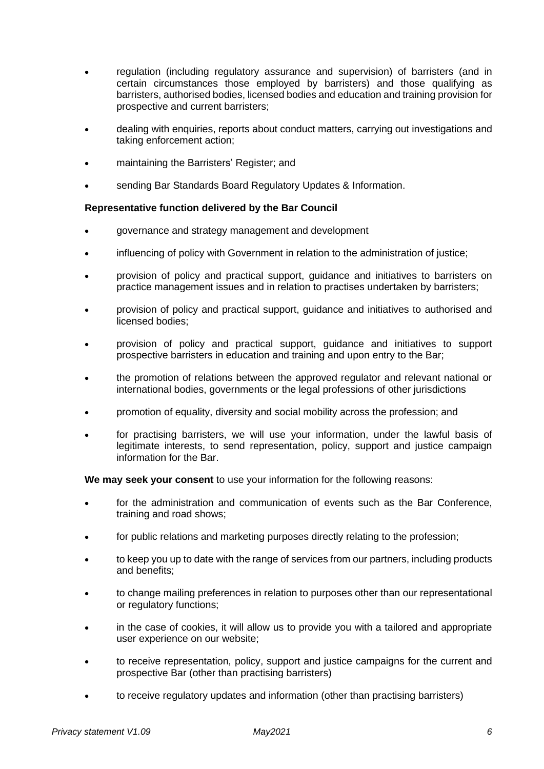- regulation (including regulatory assurance and supervision) of barristers (and in certain circumstances those employed by barristers) and those qualifying as barristers, authorised bodies, licensed bodies and education and training provision for prospective and current barristers;
- dealing with enquiries, reports about conduct matters, carrying out investigations and taking enforcement action;
- maintaining the Barristers' Register; and
- sending Bar Standards Board Regulatory Updates & Information.

## **Representative function delivered by the Bar Council**

- governance and strategy management and development
- influencing of policy with Government in relation to the administration of justice;
- provision of policy and practical support, guidance and initiatives to barristers on practice management issues and in relation to practises undertaken by barristers;
- provision of policy and practical support, guidance and initiatives to authorised and licensed bodies;
- provision of policy and practical support, guidance and initiatives to support prospective barristers in education and training and upon entry to the Bar;
- the promotion of relations between the approved regulator and relevant national or international bodies, governments or the legal professions of other jurisdictions
- promotion of equality, diversity and social mobility across the profession; and
- for practising barristers, we will use your information, under the lawful basis of legitimate interests, to send representation, policy, support and justice campaign information for the Bar.

**We may seek your consent** to use your information for the following reasons:

- for the administration and communication of events such as the Bar Conference, training and road shows;
- for public relations and marketing purposes directly relating to the profession;
- to keep you up to date with the range of services from our partners, including products and benefits;
- to change mailing preferences in relation to purposes other than our representational or regulatory functions;
- in the case of cookies, it will allow us to provide you with a tailored and appropriate user experience on our website;
- to receive representation, policy, support and justice campaigns for the current and prospective Bar (other than practising barristers)
- to receive regulatory updates and information (other than practising barristers)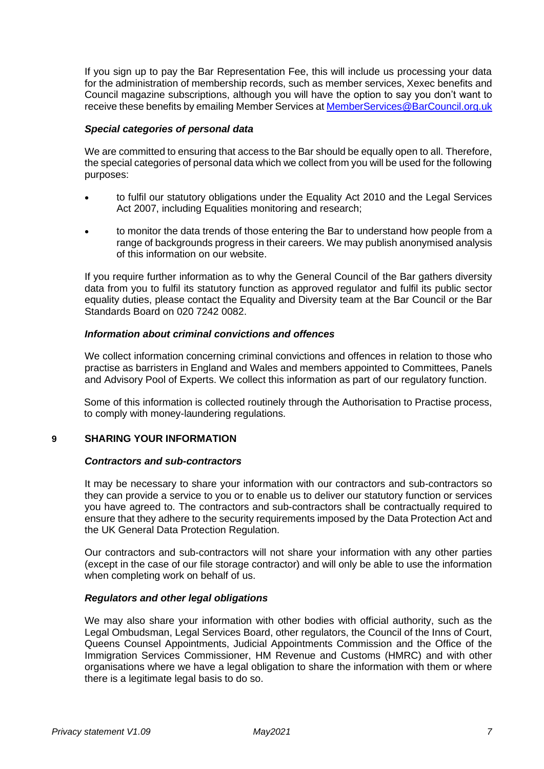If you sign up to pay the Bar Representation Fee, this will include us processing your data for the administration of membership records, such as member services, Xexec benefits and Council magazine subscriptions, although you will have the option to say you don't want to receive these benefits by emailing Member Services a[t MemberServices@BarCouncil.org.uk](mailto:MemberServices@BarCouncil.org.uk)

### *Special categories of personal data*

We are committed to ensuring that access to the Bar should be equally open to all. Therefore, the special categories of personal data which we collect from you will be used for the following purposes:

- to fulfil our statutory obligations under the Equality Act 2010 and the Legal Services Act 2007, including Equalities monitoring and research;
- to monitor the data trends of those entering the Bar to understand how people from a range of backgrounds progress in their careers. We may publish anonymised analysis of this information on our website.

If you require further information as to why the General Council of the Bar gathers diversity data from you to fulfil its statutory function as approved regulator and fulfil its public sector equality duties, please contact the Equality and Diversity team at the Bar Council or the Bar Standards Board on 020 7242 0082.

## *Information about criminal convictions and offences*

We collect information concerning criminal convictions and offences in relation to those who practise as barristers in England and Wales and members appointed to Committees, Panels and Advisory Pool of Experts. We collect this information as part of our regulatory function.

Some of this information is collected routinely through the Authorisation to Practise process, to comply with money-laundering regulations.

## **9 SHARING YOUR INFORMATION**

### *Contractors and sub-contractors*

It may be necessary to share your information with our contractors and sub-contractors so they can provide a service to you or to enable us to deliver our statutory function or services you have agreed to. The contractors and sub-contractors shall be contractually required to ensure that they adhere to the security requirements imposed by the Data Protection Act and the UK General Data Protection Regulation.

Our contractors and sub-contractors will not share your information with any other parties (except in the case of our file storage contractor) and will only be able to use the information when completing work on behalf of us.

## *Regulators and other legal obligations*

We may also share your information with other bodies with official authority, such as the Legal Ombudsman, Legal Services Board, other regulators, the Council of the Inns of Court, Queens Counsel Appointments, Judicial Appointments Commission and the Office of the Immigration Services Commissioner, HM Revenue and Customs (HMRC) and with other organisations where we have a legal obligation to share the information with them or where there is a legitimate legal basis to do so.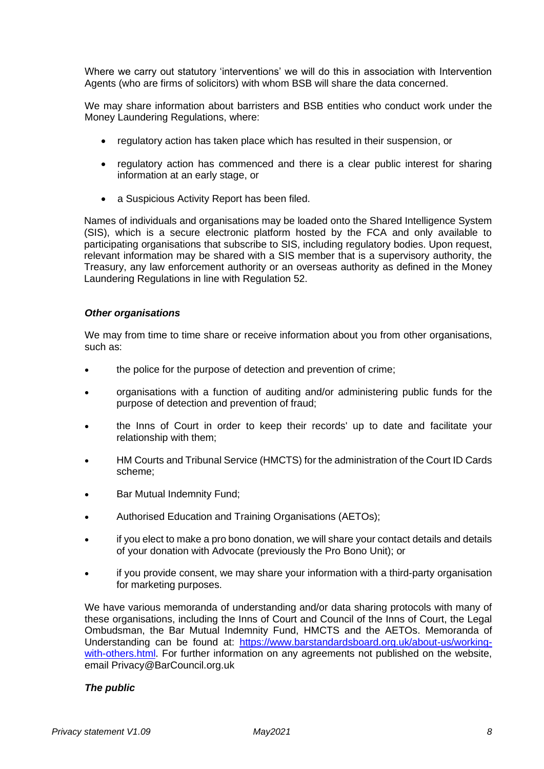Where we carry out statutory 'interventions' we will do this in association with Intervention Agents (who are firms of solicitors) with whom BSB will share the data concerned.

We may share information about barristers and BSB entities who conduct work under the Money Laundering Regulations, where:

- regulatory action has taken place which has resulted in their suspension, or
- regulatory action has commenced and there is a clear public interest for sharing information at an early stage, or
- a Suspicious Activity Report has been filed.

Names of individuals and organisations may be loaded onto the Shared Intelligence System (SIS), which is a secure electronic platform hosted by the FCA and only available to participating organisations that subscribe to SIS, including regulatory bodies. Upon request, relevant information may be shared with a SIS member that is a supervisory authority, the Treasury, any law enforcement authority or an overseas authority as defined in the Money Laundering Regulations in line with Regulation 52.

### *Other organisations*

We may from time to time share or receive information about you from other organisations, such as:

- the police for the purpose of detection and prevention of crime;
- organisations with a function of auditing and/or administering public funds for the purpose of detection and prevention of fraud;
- the Inns of Court in order to keep their records' up to date and facilitate your relationship with them;
- HM Courts and Tribunal Service (HMCTS) for the administration of the Court ID Cards scheme;
- Bar Mutual Indemnity Fund;
- Authorised Education and Training Organisations (AETOs);
- if you elect to make a pro bono donation, we will share your contact details and details of your donation with Advocate (previously the Pro Bono Unit); or
- if you provide consent, we may share your information with a third-party organisation for marketing purposes.

We have various memoranda of understanding and/or data sharing protocols with many of these organisations, including the Inns of Court and Council of the Inns of Court, the Legal Ombudsman, the Bar Mutual Indemnity Fund, HMCTS and the AETOs. Memoranda of Understanding can be found at: [https://www.barstandardsboard.org.uk/about-us/working](https://www.barstandardsboard.org.uk/about-us/working-with-others.html)[with-others.html.](https://www.barstandardsboard.org.uk/about-us/working-with-others.html) For further information on any agreements not published on the website, email Privacy@BarCouncil.org.uk

## *The public*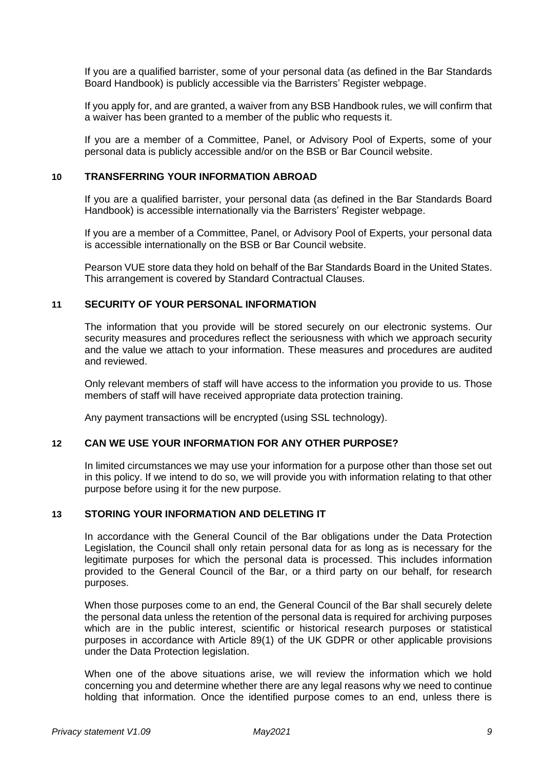If you are a qualified barrister, some of your personal data (as defined in the Bar Standards Board Handbook) is publicly accessible via the Barristers' Register webpage.

If you apply for, and are granted, a waiver from any BSB Handbook rules, we will confirm that a waiver has been granted to a member of the public who requests it.

If you are a member of a Committee, Panel, or Advisory Pool of Experts, some of your personal data is publicly accessible and/or on the BSB or Bar Council website.

## **10 TRANSFERRING YOUR INFORMATION ABROAD**

If you are a qualified barrister, your personal data (as defined in the Bar Standards Board Handbook) is accessible internationally via the Barristers' Register webpage.

If you are a member of a Committee, Panel, or Advisory Pool of Experts, your personal data is accessible internationally on the BSB or Bar Council website.

Pearson VUE store data they hold on behalf of the Bar Standards Board in the United States. This arrangement is covered by Standard Contractual Clauses.

#### **11 SECURITY OF YOUR PERSONAL INFORMATION**

The information that you provide will be stored securely on our electronic systems. Our security measures and procedures reflect the seriousness with which we approach security and the value we attach to your information. These measures and procedures are audited and reviewed.

Only relevant members of staff will have access to the information you provide to us. Those members of staff will have received appropriate data protection training.

Any payment transactions will be encrypted (using SSL technology).

### **12 CAN WE USE YOUR INFORMATION FOR ANY OTHER PURPOSE?**

In limited circumstances we may use your information for a purpose other than those set out in this policy. If we intend to do so, we will provide you with information relating to that other purpose before using it for the new purpose.

### **13 STORING YOUR INFORMATION AND DELETING IT**

In accordance with the General Council of the Bar obligations under the Data Protection Legislation, the Council shall only retain personal data for as long as is necessary for the legitimate purposes for which the personal data is processed. This includes information provided to the General Council of the Bar, or a third party on our behalf, for research purposes.

When those purposes come to an end, the General Council of the Bar shall securely delete the personal data unless the retention of the personal data is required for archiving purposes which are in the public interest, scientific or historical research purposes or statistical purposes in accordance with Article 89(1) of the UK GDPR or other applicable provisions under the Data Protection legislation.

When one of the above situations arise, we will review the information which we hold concerning you and determine whether there are any legal reasons why we need to continue holding that information. Once the identified purpose comes to an end, unless there is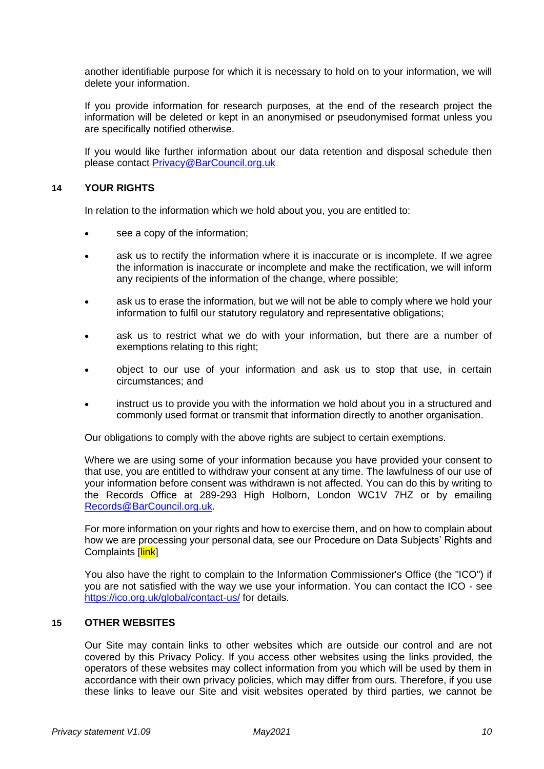another identifiable purpose for which it is necessary to hold on to your information, we will delete your information.

If you provide information for research purposes, at the end of the research project the information will be deleted or kept in an anonymised or pseudonymised format unless you are specifically notified otherwise.

If you would like further information about our data retention and disposal schedule then please contact [Privacy@BarCouncil.org.uk](mailto:Privacy@BarCouncil.org.uk)

### **14 YOUR RIGHTS**

In relation to the information which we hold about you, you are entitled to:

- see a copy of the information;
- ask us to rectify the information where it is inaccurate or is incomplete. If we agree the information is inaccurate or incomplete and make the rectification, we will inform any recipients of the information of the change, where possible;
- ask us to erase the information, but we will not be able to comply where we hold your information to fulfil our statutory regulatory and representative obligations;
- ask us to restrict what we do with your information, but there are a number of exemptions relating to this right;
- object to our use of your information and ask us to stop that use, in certain circumstances; and
- instruct us to provide you with the information we hold about you in a structured and commonly used format or transmit that information directly to another organisation.

Our obligations to comply with the above rights are subject to certain exemptions.

Where we are using some of your information because you have provided your consent to that use, you are entitled to withdraw your consent at any time. The lawfulness of our use of your information before consent was withdrawn is not affected. You can do this by writing to the Records Office at 289-293 High Holborn, London WC1V 7HZ or by emailing [Records@BarCouncil.org.uk.](mailto:Records@BarCouncil.org.uk)

For more information on your rights and how to exercise them, and on how to complain about how we are processing your personal data, see our Procedure on Data Subjects' Rights and Complaints [link]

You also have the right to complain to the Information Commissioner's Office (the "ICO") if you are not satisfied with the way we use your information. You can contact the ICO [-](mailto:-) see <https://ico.org.uk/global/contact-us/> for details.

#### **15 OTHER WEBSITES**

Our Site may contain links to other websites which are outside our control and are not covered by this Privacy Policy. If you access other websites using the links provided, the operators of these websites may collect information from you which will be used by them in accordance with their own privacy policies, which may differ from ours. Therefore, if you use these links to leave our Site and visit websites operated by third parties, we cannot be